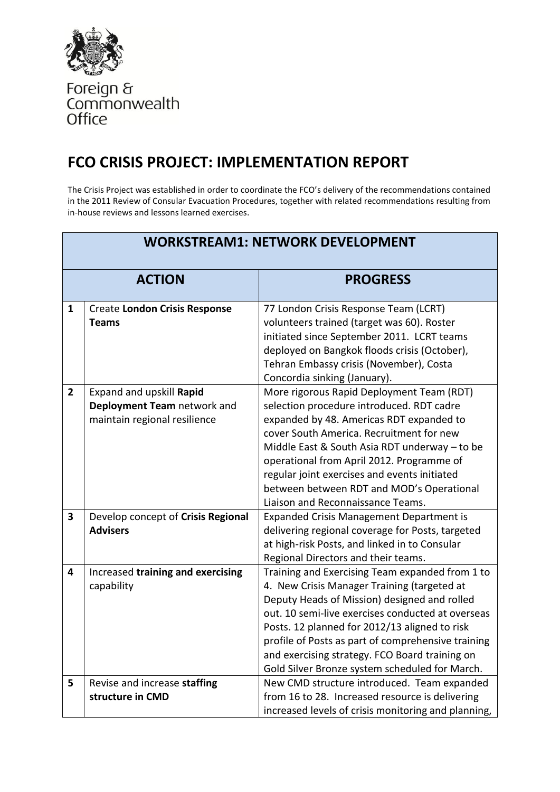

Foreign &<br>Commonwealth<br>Office

## **FCO CRISIS PROJECT: IMPLEMENTATION REPORT**

The Crisis Project was established in order to coordinate the FCO's delivery of the recommendations contained in the 2011 Review of Consular Evacuation Procedures, together with related recommendations resulting from in-house reviews and lessons learned exercises.

| <b>WORKSTREAM1: NETWORK DEVELOPMENT</b> |                                                                                         |                                                                                                                                                                                                                                                                                                                                                                                                                |
|-----------------------------------------|-----------------------------------------------------------------------------------------|----------------------------------------------------------------------------------------------------------------------------------------------------------------------------------------------------------------------------------------------------------------------------------------------------------------------------------------------------------------------------------------------------------------|
| <b>ACTION</b>                           |                                                                                         | <b>PROGRESS</b>                                                                                                                                                                                                                                                                                                                                                                                                |
| 1                                       | <b>Create London Crisis Response</b><br>Teams                                           | 77 London Crisis Response Team (LCRT)<br>volunteers trained (target was 60). Roster<br>initiated since September 2011. LCRT teams<br>deployed on Bangkok floods crisis (October),<br>Tehran Embassy crisis (November), Costa<br>Concordia sinking (January).                                                                                                                                                   |
| $\overline{2}$                          | Expand and upskill Rapid<br>Deployment Team network and<br>maintain regional resilience | More rigorous Rapid Deployment Team (RDT)<br>selection procedure introduced. RDT cadre<br>expanded by 48. Americas RDT expanded to<br>cover South America. Recruitment for new<br>Middle East & South Asia RDT underway - to be<br>operational from April 2012. Programme of<br>regular joint exercises and events initiated<br>between between RDT and MOD's Operational<br>Liaison and Reconnaissance Teams. |
| $\overline{\mathbf{3}}$                 | Develop concept of Crisis Regional<br><b>Advisers</b>                                   | Expanded Crisis Management Department is<br>delivering regional coverage for Posts, targeted<br>at high-risk Posts, and linked in to Consular<br>Regional Directors and their teams.                                                                                                                                                                                                                           |
| 4                                       | Increased training and exercising<br>capability                                         | Training and Exercising Team expanded from 1 to<br>4. New Crisis Manager Training (targeted at<br>Deputy Heads of Mission) designed and rolled<br>out. 10 semi-live exercises conducted at overseas<br>Posts. 12 planned for 2012/13 aligned to risk<br>profile of Posts as part of comprehensive training<br>and exercising strategy. FCO Board training on<br>Gold Silver Bronze system scheduled for March. |
| 5                                       | Revise and increase staffing<br>structure in CMD                                        | New CMD structure introduced. Team expanded<br>from 16 to 28. Increased resource is delivering<br>increased levels of crisis monitoring and planning,                                                                                                                                                                                                                                                          |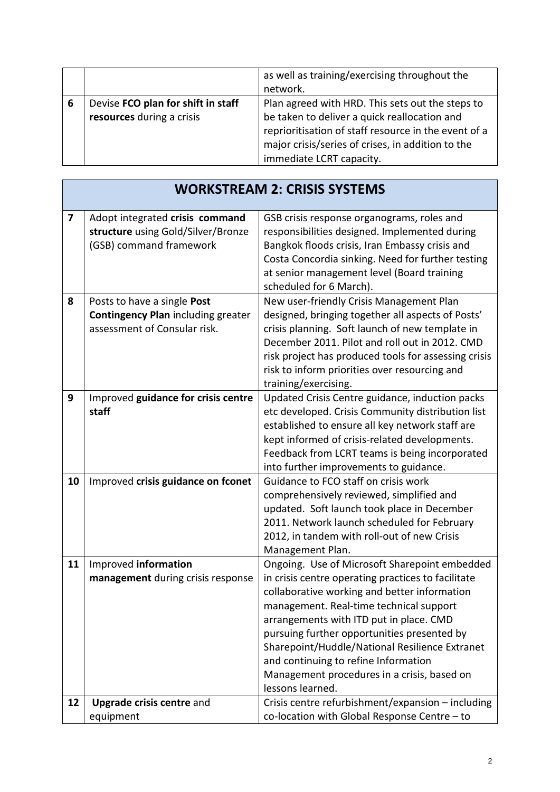|   |                                                                 | as well as training/exercising throughout the<br>network.                                                                                                                                                                                 |
|---|-----------------------------------------------------------------|-------------------------------------------------------------------------------------------------------------------------------------------------------------------------------------------------------------------------------------------|
| 6 | Devise FCO plan for shift in staff<br>resources during a crisis | Plan agreed with HRD. This sets out the steps to<br>be taken to deliver a quick reallocation and<br>reprioritisation of staff resource in the event of a<br>major crisis/series of crises, in addition to the<br>immediate LCRT capacity. |

 $\overline{1}$ 

|    | <b>WORKSTREAM 2: CRISIS SYSTEMS</b>                                                                      |                                                                                                                                                                                                                                                                                                                                                                                                                                                       |  |
|----|----------------------------------------------------------------------------------------------------------|-------------------------------------------------------------------------------------------------------------------------------------------------------------------------------------------------------------------------------------------------------------------------------------------------------------------------------------------------------------------------------------------------------------------------------------------------------|--|
| 7  | Adopt integrated crisis command<br>structure using Gold/Silver/Bronze<br>(GSB) command framework         | GSB crisis response organograms, roles and<br>responsibilities designed. Implemented during<br>Bangkok floods crisis, Iran Embassy crisis and<br>Costa Concordia sinking. Need for further testing<br>at senior management level (Board training<br>scheduled for 6 March).                                                                                                                                                                           |  |
| 8  | Posts to have a single Post<br><b>Contingency Plan including greater</b><br>assessment of Consular risk. | New user-friendly Crisis Management Plan<br>designed, bringing together all aspects of Posts'<br>crisis planning. Soft launch of new template in<br>December 2011. Pilot and roll out in 2012. CMD<br>risk project has produced tools for assessing crisis<br>risk to inform priorities over resourcing and<br>training/exercising.                                                                                                                   |  |
| 9  | Improved guidance for crisis centre<br>staff                                                             | Updated Crisis Centre guidance, induction packs<br>etc developed. Crisis Community distribution list<br>established to ensure all key network staff are<br>kept informed of crisis-related developments.<br>Feedback from LCRT teams is being incorporated<br>into further improvements to guidance.                                                                                                                                                  |  |
| 10 | Improved crisis guidance on fconet                                                                       | Guidance to FCO staff on crisis work<br>comprehensively reviewed, simplified and<br>updated. Soft launch took place in December<br>2011. Network launch scheduled for February<br>2012, in tandem with roll-out of new Crisis<br>Management Plan.                                                                                                                                                                                                     |  |
| 11 | Improved information<br>management during crisis response                                                | Ongoing. Use of Microsoft Sharepoint embedded<br>in crisis centre operating practices to facilitate<br>collaborative working and better information<br>management. Real-time technical support<br>arrangements with ITD put in place. CMD<br>pursuing further opportunities presented by<br>Sharepoint/Huddle/National Resilience Extranet<br>and continuing to refine Information<br>Management procedures in a crisis, based on<br>lessons learned. |  |
| 12 | <b>Upgrade crisis centre and</b><br>equipment                                                            | Crisis centre refurbishment/expansion - including<br>co-location with Global Response Centre - to                                                                                                                                                                                                                                                                                                                                                     |  |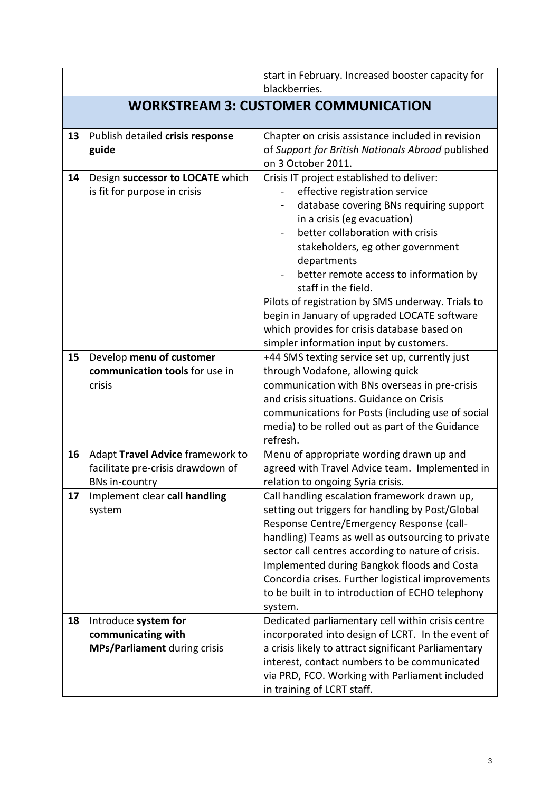|    |                                                                                                | start in February. Increased booster capacity for<br>blackberries.                                                                                                                                                                                                                                                                                                                                                                                                                                            |  |
|----|------------------------------------------------------------------------------------------------|---------------------------------------------------------------------------------------------------------------------------------------------------------------------------------------------------------------------------------------------------------------------------------------------------------------------------------------------------------------------------------------------------------------------------------------------------------------------------------------------------------------|--|
|    | <b>WORKSTREAM 3: CUSTOMER COMMUNICATION</b>                                                    |                                                                                                                                                                                                                                                                                                                                                                                                                                                                                                               |  |
| 13 | Publish detailed crisis response                                                               | Chapter on crisis assistance included in revision                                                                                                                                                                                                                                                                                                                                                                                                                                                             |  |
|    | guide                                                                                          | of Support for British Nationals Abroad published<br>on 3 October 2011.                                                                                                                                                                                                                                                                                                                                                                                                                                       |  |
| 14 | Design successor to LOCATE which<br>is fit for purpose in crisis                               | Crisis IT project established to deliver:<br>effective registration service<br>database covering BNs requiring support<br>in a crisis (eg evacuation)<br>better collaboration with crisis<br>stakeholders, eg other government<br>departments<br>better remote access to information by<br>staff in the field.<br>Pilots of registration by SMS underway. Trials to<br>begin in January of upgraded LOCATE software<br>which provides for crisis database based on<br>simpler information input by customers. |  |
| 15 | Develop menu of customer<br>communication tools for use in<br>crisis                           | +44 SMS texting service set up, currently just<br>through Vodafone, allowing quick<br>communication with BNs overseas in pre-crisis<br>and crisis situations. Guidance on Crisis<br>communications for Posts (including use of social<br>media) to be rolled out as part of the Guidance<br>refresh.                                                                                                                                                                                                          |  |
| 16 | Adapt Travel Advice framework to<br>facilitate pre-crisis drawdown of<br><b>BNs in-country</b> | Menu of appropriate wording drawn up and<br>agreed with Travel Advice team. Implemented in<br>relation to ongoing Syria crisis.                                                                                                                                                                                                                                                                                                                                                                               |  |
| 17 | Implement clear call handling<br>system                                                        | Call handling escalation framework drawn up,<br>setting out triggers for handling by Post/Global<br>Response Centre/Emergency Response (call-<br>handling) Teams as well as outsourcing to private<br>sector call centres according to nature of crisis.<br>Implemented during Bangkok floods and Costa<br>Concordia crises. Further logistical improvements<br>to be built in to introduction of ECHO telephony<br>system.                                                                                   |  |
| 18 | Introduce system for<br>communicating with<br>MPs/Parliament during crisis                     | Dedicated parliamentary cell within crisis centre<br>incorporated into design of LCRT. In the event of<br>a crisis likely to attract significant Parliamentary<br>interest, contact numbers to be communicated<br>via PRD, FCO. Working with Parliament included<br>in training of LCRT staff.                                                                                                                                                                                                                |  |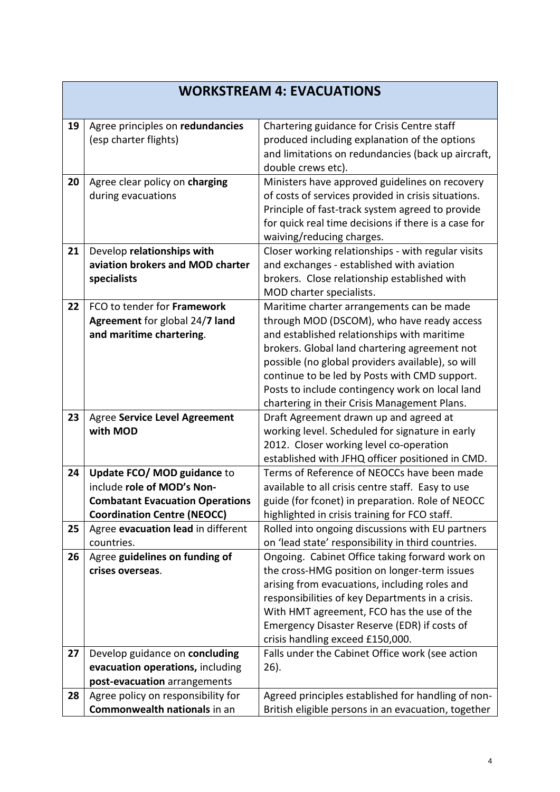|    | <b>WORKSTREAM 4: EVACUATIONS</b>                                                                                                          |                                                                                                                                                                                                                                                                                                                                                                                                  |  |
|----|-------------------------------------------------------------------------------------------------------------------------------------------|--------------------------------------------------------------------------------------------------------------------------------------------------------------------------------------------------------------------------------------------------------------------------------------------------------------------------------------------------------------------------------------------------|--|
| 19 | Agree principles on redundancies<br>(esp charter flights)                                                                                 | Chartering guidance for Crisis Centre staff<br>produced including explanation of the options<br>and limitations on redundancies (back up aircraft,<br>double crews etc).                                                                                                                                                                                                                         |  |
| 20 | Agree clear policy on charging<br>during evacuations                                                                                      | Ministers have approved guidelines on recovery<br>of costs of services provided in crisis situations.<br>Principle of fast-track system agreed to provide<br>for quick real time decisions if there is a case for<br>waiving/reducing charges.                                                                                                                                                   |  |
| 21 | Develop relationships with<br>aviation brokers and MOD charter<br>specialists                                                             | Closer working relationships - with regular visits<br>and exchanges - established with aviation<br>brokers. Close relationship established with<br>MOD charter specialists.                                                                                                                                                                                                                      |  |
| 22 | FCO to tender for Framework<br>Agreement for global 24/7 land<br>and maritime chartering.                                                 | Maritime charter arrangements can be made<br>through MOD (DSCOM), who have ready access<br>and established relationships with maritime<br>brokers. Global land chartering agreement not<br>possible (no global providers available), so will<br>continue to be led by Posts with CMD support.<br>Posts to include contingency work on local land<br>chartering in their Crisis Management Plans. |  |
| 23 | Agree Service Level Agreement<br>with MOD                                                                                                 | Draft Agreement drawn up and agreed at<br>working level. Scheduled for signature in early<br>2012. Closer working level co-operation<br>established with JFHQ officer positioned in CMD.                                                                                                                                                                                                         |  |
| 24 | Update FCO/ MOD guidance to<br>include role of MOD's Non-<br><b>Combatant Evacuation Operations</b><br><b>Coordination Centre (NEOCC)</b> | Terms of Reference of NEOCCs have been made<br>available to all crisis centre staff. Easy to use<br>guide (for fconet) in preparation. Role of NEOCC<br>highlighted in crisis training for FCO staff.                                                                                                                                                                                            |  |
| 25 | Agree evacuation lead in different<br>countries.                                                                                          | Rolled into ongoing discussions with EU partners<br>on 'lead state' responsibility in third countries.                                                                                                                                                                                                                                                                                           |  |
| 26 | Agree guidelines on funding of<br>crises overseas.                                                                                        | Ongoing. Cabinet Office taking forward work on<br>the cross-HMG position on longer-term issues<br>arising from evacuations, including roles and<br>responsibilities of key Departments in a crisis.<br>With HMT agreement, FCO has the use of the<br>Emergency Disaster Reserve (EDR) if costs of<br>crisis handling exceed £150,000.                                                            |  |
| 27 | Develop guidance on concluding<br>evacuation operations, including<br>post-evacuation arrangements                                        | Falls under the Cabinet Office work (see action<br>26).                                                                                                                                                                                                                                                                                                                                          |  |
| 28 | Agree policy on responsibility for<br>Commonwealth nationals in an                                                                        | Agreed principles established for handling of non-<br>British eligible persons in an evacuation, together                                                                                                                                                                                                                                                                                        |  |